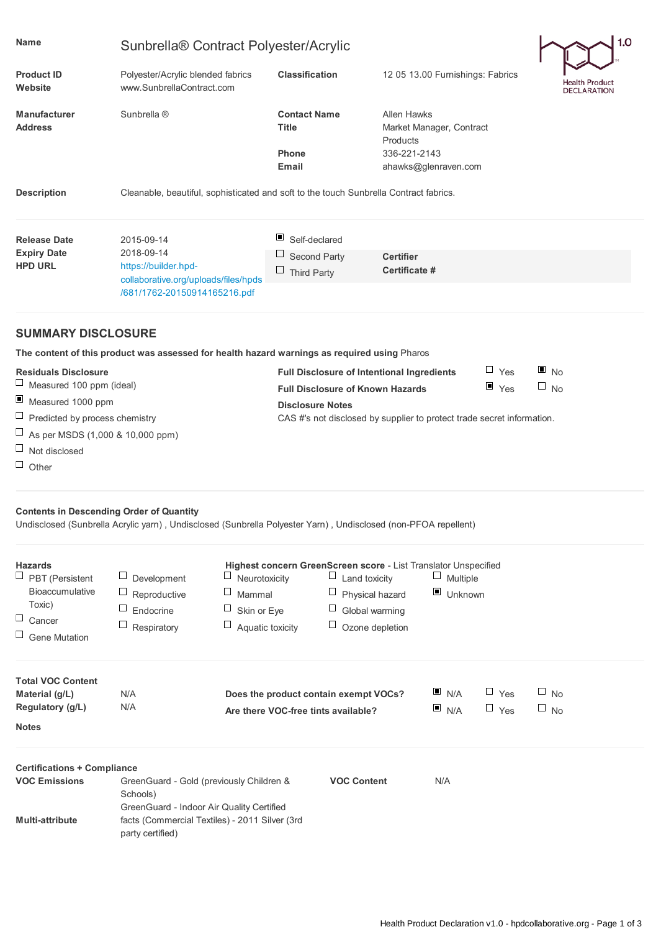| <b>Name</b>                                                                                                                                                                                                                                                                                                                                                                                                                                                                                | 1.0<br>Sunbrella® Contract Polyester/Acrylic                                                                             |                                                                              |                                                                                                     |                                                                                                              |                          |                                      |
|--------------------------------------------------------------------------------------------------------------------------------------------------------------------------------------------------------------------------------------------------------------------------------------------------------------------------------------------------------------------------------------------------------------------------------------------------------------------------------------------|--------------------------------------------------------------------------------------------------------------------------|------------------------------------------------------------------------------|-----------------------------------------------------------------------------------------------------|--------------------------------------------------------------------------------------------------------------|--------------------------|--------------------------------------|
| <b>Product ID</b><br>Website                                                                                                                                                                                                                                                                                                                                                                                                                                                               | Polyester/Acrylic blended fabrics<br>www.SunbrellaContract.com                                                           | <b>Classification</b>                                                        |                                                                                                     | 12 05 13.00 Furnishings: Fabrics                                                                             |                          | Health Product<br><b>DECLARATION</b> |
| <b>Manufacturer</b><br><b>Address</b>                                                                                                                                                                                                                                                                                                                                                                                                                                                      | Sunbrella ®                                                                                                              | <b>Contact Name</b><br>Title<br><b>Phone</b><br>Email                        |                                                                                                     | <b>Allen Hawks</b><br>Market Manager, Contract<br>Products<br>336-221-2143<br>ahawks@glenraven.com           |                          |                                      |
| <b>Description</b>                                                                                                                                                                                                                                                                                                                                                                                                                                                                         | Cleanable, beautiful, sophisticated and soft to the touch Sunbrella Contract fabrics.                                    |                                                                              |                                                                                                     |                                                                                                              |                          |                                      |
| <b>Release Date</b><br><b>Expiry Date</b><br><b>HPD URL</b>                                                                                                                                                                                                                                                                                                                                                                                                                                | 2015-09-14<br>2018-09-14<br>https://builder.hpd-<br>collaborative.org/uploads/files/hpds<br>/681/1762-20150914165216.pdf | $\Box$<br>$\Box$<br>$\Box$                                                   | Self-declared<br>Second Party<br><b>Certifier</b><br>Certificate #<br><b>Third Party</b>            |                                                                                                              |                          |                                      |
| <b>SUMMARY DISCLOSURE</b>                                                                                                                                                                                                                                                                                                                                                                                                                                                                  |                                                                                                                          |                                                                              |                                                                                                     |                                                                                                              |                          |                                      |
|                                                                                                                                                                                                                                                                                                                                                                                                                                                                                            | The content of this product was assessed for health hazard warnings as required using Pharos                             |                                                                              |                                                                                                     |                                                                                                              |                          |                                      |
| $\Box$ Yes<br>$\blacksquare$ No<br><b>Residuals Disclosure</b><br>Full Disclosure of Intentional Ingredients<br>Measured 100 ppm (ideal)<br>$\blacksquare$ Yes<br>$\Box$ No<br><b>Full Disclosure of Known Hazards</b><br>$\blacksquare$<br>Measured 1000 ppm<br><b>Disclosure Notes</b><br>$\Box$ Predicted by process chemistry<br>CAS #'s not disclosed by supplier to protect trade secret information.<br>ш<br>As per MSDS (1,000 & 10,000 ppm)<br>ப<br>Not disclosed<br>$\Box$ Other |                                                                                                                          |                                                                              |                                                                                                     |                                                                                                              |                          |                                      |
| <b>Contents in Descending Order of Quantity</b><br>Undisclosed (Sunbrella Acrylic yarn), Undisclosed (Sunbrella Polyester Yarn), Undisclosed (non-PFOA repellent)                                                                                                                                                                                                                                                                                                                          |                                                                                                                          |                                                                              |                                                                                                     |                                                                                                              |                          |                                      |
| <b>Hazards</b><br>$\Box$ PBT (Persistent<br>Bioaccumulative<br>Toxic)<br>ப<br>Cancer<br><b>Gene Mutation</b>                                                                                                                                                                                                                                                                                                                                                                               | Ц<br>Development<br>$\Box$<br>$\Box$<br>Reproductive<br>$\Box$<br>Endocrine<br>$\Box$<br>Respiratory                     | Neurotoxicity<br>Mammal<br>Skin or Eye<br>Aquatic toxicity                   | $\Box$<br>Land toxicity<br>$\Box$<br>Physical hazard<br>Global warming<br>$\Box$<br>Ozone depletion | Highest concern GreenScreen score - List Translator Unspecified<br>$\Box$ Multiple<br>$\blacksquare$ Unknown |                          |                                      |
| <b>Total VOC Content</b><br>Material (g/L)<br>Regulatory (g/L)<br><b>Notes</b>                                                                                                                                                                                                                                                                                                                                                                                                             | N/A<br>N/A                                                                                                               | Does the product contain exempt VOCs?<br>Are there VOC-free tints available? |                                                                                                     | N/A<br>N/A                                                                                                   | $\Box$ Yes<br>$\Box$ Yes | $\Box$ No<br>$\Box$ No               |
| <b>Certifications + Compliance</b><br><b>VOC Emissions</b><br>GreenGuard - Gold (previously Children &<br><b>VOC Content</b><br>N/A<br>Schools)<br>GreenGuard - Indoor Air Quality Certified<br>facts (Commercial Textiles) - 2011 Silver (3rd<br><b>Multi-attribute</b><br>party certified)                                                                                                                                                                                               |                                                                                                                          |                                                                              |                                                                                                     |                                                                                                              |                          |                                      |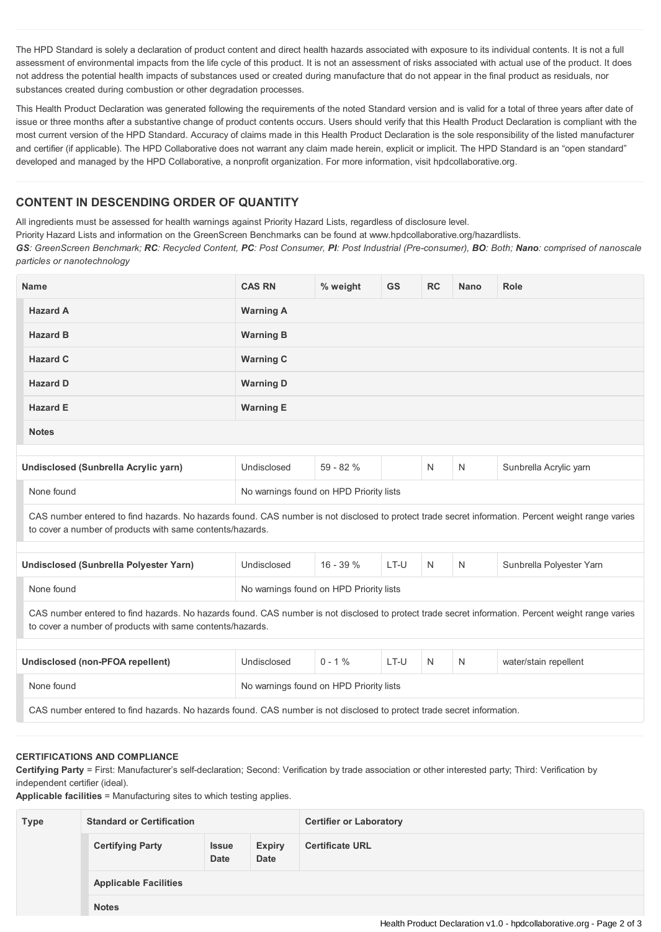The HPD Standard is solely a declaration of product content and direct health hazards associated with exposure to its individual contents. It is not a full assessment of environmental impacts from the life cycle of this product. It is not an assessment of risks associated with actual use of the product. It does not address the potential health impacts of substances used or created during manufacture that do not appear in the final product as residuals, nor substances created during combustion or other degradation processes.

This Health Product Declaration was generated following the requirements of the noted Standard version and is valid for a total of three years after date of issue or three months after a substantive change of product contents occurs. Users should verify that this Health Product Declaration is compliant with the most current version of the HPD Standard. Accuracy of claims made in this Health Product Declaration is the sole responsibility of the listed manufacturer and certifier (if applicable). The HPD Collaborative does not warrant any claim made herein, explicit or implicit. The HPD Standard is an "open standard" developed and managed by the HPD Collaborative, a nonprofit organization. For more information, visit hpdcollaborative.org.

## **CONTENT IN DESCENDING ORDER OF QUANTITY**

All ingredients must be assessed for health warnings against Priority Hazard Lists, regardless of disclosure level.

Priority Hazard Lists and information on the GreenScreen Benchmarks can be found at www.hpdcollaborative.org/hazardlists.

GS: GreenScreen Benchmark; RC: Recycled Content, PC: Post Consumer, PI: Post Industrial (Pre-consumer), BO: Both; Nano: comprised of nanoscale *particles or nanotechnology*

| <b>Name</b>                                                                                                                                                                                                     | <b>CAS RN</b>                           | % weight  | <b>GS</b> | <b>RC</b> | <b>Nano</b> | Role                     |  |
|-----------------------------------------------------------------------------------------------------------------------------------------------------------------------------------------------------------------|-----------------------------------------|-----------|-----------|-----------|-------------|--------------------------|--|
| <b>Hazard A</b>                                                                                                                                                                                                 | <b>Warning A</b>                        |           |           |           |             |                          |  |
| <b>Hazard B</b>                                                                                                                                                                                                 | <b>Warning B</b>                        |           |           |           |             |                          |  |
| <b>Hazard C</b>                                                                                                                                                                                                 | <b>Warning C</b>                        |           |           |           |             |                          |  |
| <b>Hazard D</b>                                                                                                                                                                                                 | <b>Warning D</b>                        |           |           |           |             |                          |  |
| <b>Hazard E</b>                                                                                                                                                                                                 | <b>Warning E</b>                        |           |           |           |             |                          |  |
| <b>Notes</b>                                                                                                                                                                                                    |                                         |           |           |           |             |                          |  |
|                                                                                                                                                                                                                 |                                         |           |           |           |             |                          |  |
| Undisclosed (Sunbrella Acrylic yarn)                                                                                                                                                                            | Undisclosed                             | 59 - 82 % |           | N         | N           | Sunbrella Acrylic yarn   |  |
| None found                                                                                                                                                                                                      | No warnings found on HPD Priority lists |           |           |           |             |                          |  |
| CAS number entered to find hazards. No hazards found. CAS number is not disclosed to protect trade secret information. Percent weight range varies<br>to cover a number of products with same contents/hazards. |                                         |           |           |           |             |                          |  |
|                                                                                                                                                                                                                 |                                         |           |           |           |             |                          |  |
| Undisclosed (Sunbrella Polyester Yarn)                                                                                                                                                                          | Undisclosed                             | 16 - 39 % | LT-U      | N         | N           | Sunbrella Polyester Yarn |  |
| None found<br>No warnings found on HPD Priority lists                                                                                                                                                           |                                         |           |           |           |             |                          |  |
| CAS number entered to find hazards. No hazards found. CAS number is not disclosed to protect trade secret information. Percent weight range varies<br>to cover a number of products with same contents/hazards. |                                         |           |           |           |             |                          |  |
|                                                                                                                                                                                                                 |                                         |           |           |           |             |                          |  |
| Undisclosed (non-PFOA repellent)                                                                                                                                                                                | Undisclosed                             | $0 - 1 %$ | LT-U      | N         | N           | water/stain repellent    |  |
| None found                                                                                                                                                                                                      | No warnings found on HPD Priority lists |           |           |           |             |                          |  |
| CAS number entered to find hazards. No hazards found. CAS number is not disclosed to protect trade secret information.                                                                                          |                                         |           |           |           |             |                          |  |

## **CERTIFICATIONS AND COMPLIANCE**

**Certifying Party** = First: Manufacturer's self-declaration; Second: Verification by trade association or other interested party; Third: Verification by independent certifier (ideal).

**Applicable facilities** = Manufacturing sites to which testing applies.

| <b>Type</b> | <b>Standard or Certification</b> |                             |                       | <b>Certifier or Laboratory</b> |  |  |  |
|-------------|----------------------------------|-----------------------------|-----------------------|--------------------------------|--|--|--|
|             | <b>Certifying Party</b>          | <b>Issue</b><br><b>Date</b> | <b>Expiry</b><br>Date | <b>Certificate URL</b>         |  |  |  |
|             | <b>Applicable Facilities</b>     |                             |                       |                                |  |  |  |
|             | <b>Notes</b>                     |                             |                       |                                |  |  |  |